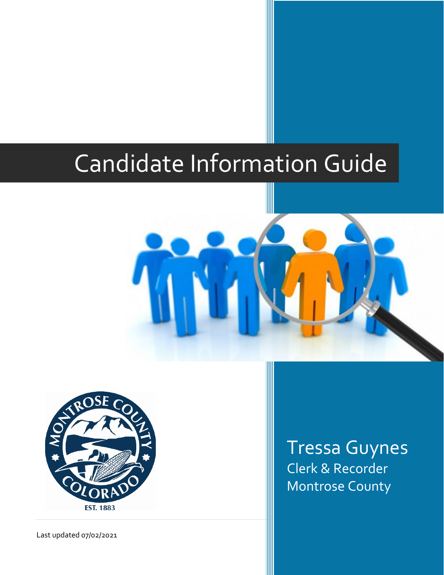# Candidate Information Guide



Tressa Guynes Clerk & Recorder Montrose County

Last updated 07/02/2021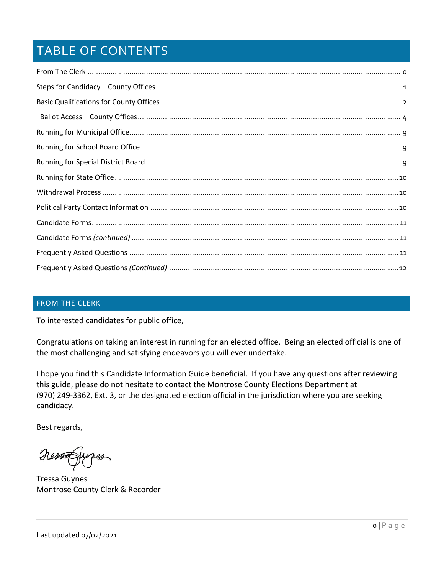# TABLE OF CONTENTS

#### <span id="page-1-0"></span>FROM THE CLERK

To interested candidates for public office,

Congratulations on taking an interest in running for an elected office. Being an elected official is one of the most challenging and satisfying endeavors you will ever undertake.

I hope you find this Candidate Information Guide beneficial. If you have any questions after reviewing this guide, please do not hesitate to contact the Montrose County Elections Department at (970) 249-3362, Ext. 3, or the designated election official in the jurisdiction where you are seeking candidacy.

Best regards,

NessaGunes

Tressa Guynes Montrose County Clerk & Recorder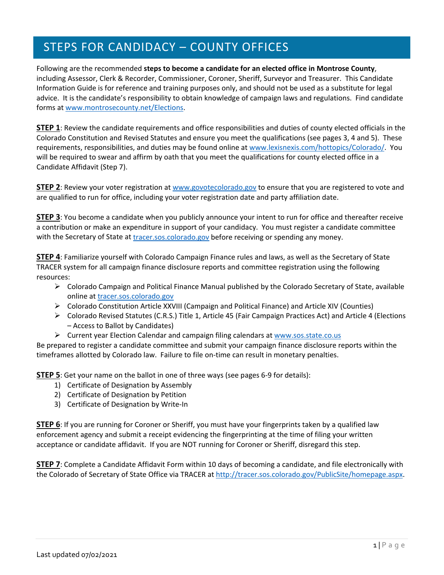# <span id="page-2-0"></span>STEPS FOR CANDIDACY – COUNTY OFFICES

Following are the recommended **steps to become a candidate for an elected office in Montrose County**, including Assessor, Clerk & Recorder, Commissioner, Coroner, Sheriff, Surveyor and Treasurer. This Candidate Information Guide is for reference and training purposes only, and should not be used as a substitute for legal advice. It is the candidate's responsibility to obtain knowledge of campaign laws and regulations. Find candidate forms at [www.montrosecounty.net/Elections.](http://www.montrosecounty.net/Elections)

**STEP 1**: Review the candidate requirements and office responsibilities and duties of county elected officials in the Colorado Constitution and Revised Statutes and ensure you meet the qualifications (see pages 3, 4 and 5). These requirements, responsibilities, and duties may be found online at [www.lexisnexis.com/hottopics/Colorado/.](http://www.lexisnexis.com/hottopics/Colorado/) You will be required to swear and affirm by oath that you meet the qualifications for county elected office in a Candidate Affidavit (Step 7).

**STEP 2**: Review your voter registration at [www.govotecolorado.g](http://www.govotecolorado./)ov to ensure that you are registered to vote and are qualified to run for office, including your voter registration date and party affiliation date.

**STEP 3**: You become a candidate when you publicly announce your intent to run for office and thereafter receive a contribution or make an expenditure in support of your candidacy. You must register a candidate committee with the Secretary of State a[t tracer.sos.colorado.gov](http://tracer.sos.colorado.gov/PublicSite/homepage.aspx) before receiving or spending any money.

**STEP 4**: Familiarize yourself with Colorado Campaign Finance rules and laws, as well as the Secretary of State TRACER system for all campaign finance disclosure reports and committee registration using the following resources:

- Colorado Campaign and Political Finance Manual published by the Colorado Secretary of State, available online a[t tracer.sos.colorado.gov](http://tracer.sos.colorado.gov/PublicSite/homepage.aspx)
- Colorado Constitution Article XXVIII (Campaign and Political Finance) and Article XIV (Counties)
- $\triangleright$  Colorado Revised Statutes (C.R.S.) Title 1, Article 45 (Fair Campaign Practices Act) and Article 4 (Elections – Access to Ballot by Candidates)
- Current year Election Calendar and campaign filing calendars at [www.sos.state.co.us](http://www.sos.state.co.us/)

Be prepared to register a candidate committee and submit your campaign finance disclosure reports within the timeframes allotted by Colorado law. Failure to file on-time can result in monetary penalties.

**STEP 5**: Get your name on the ballot in one of three ways (see pages 6-9 for details):

- 1) Certificate of Designation by Assembly
- 2) Certificate of Designation by Petition
- 3) Certificate of Designation by Write-In

**STEP 6**: If you are running for Coroner or Sheriff, you must have your fingerprints taken by a qualified law enforcement agency and submit a receipt evidencing the fingerprinting at the time of filing your written acceptance or candidate affidavit. If you are NOT running for Coroner or Sheriff, disregard this step.

**STEP 7**: Complete a Candidate Affidavit Form within 10 days of becoming a candidate, and file electronically with the Colorado of Secretary of State Office via TRACER at [http://tracer.sos.colorado.gov/PublicSite/homepage.aspx.](http://tracer.sos.colorado.gov/PublicSite/homepage.aspx)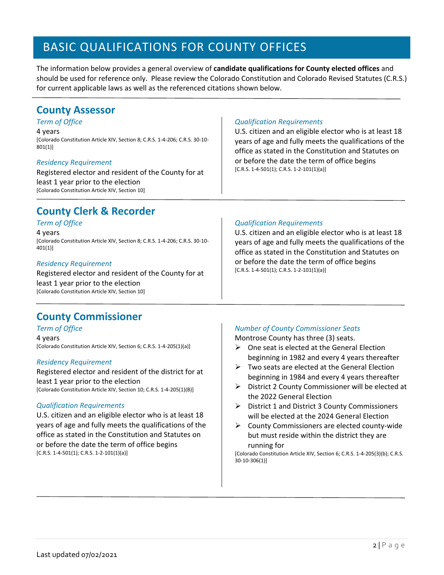# <span id="page-3-0"></span>BASIC QUALIFICATIONS FOR COUNTY OFFICES

The information below provides a general overview of **candidate qualifications for County elected offices** and should be used for reference only. Please review the Colorado Constitution and Colorado Revised Statutes (C.R.S.) for current applicable laws as well as the referenced citations shown below.

### **County Assessor**

#### *Term of Office*

4 years

[Colorado Constitution Article XIV, Section 8; C.R.S. 1-4-206; C.R.S. 30-10- 801(1)]

#### *Residency Requirement*

Registered elector and resident of the County for at least 1 year prior to the election [Colorado Constitution Article XIV, Section 10]

### **County Clerk & Recorder**

#### *Term of Office*

4 years

[Colorado Constitution Article XIV, Section 8; C.R.S. 1-4-206; C.R.S. 30-10- 401(1)]

#### *Residency Requirement*

Registered elector and resident of the County for at least 1 year prior to the election [Colorado Constitution Article XIV, Section 10]

### **County Commissioner**

#### *Term of Office*

4 years [Colorado Constitution Article XIV, Section 6; C.R.S. 1-4-205(1)(a)]

#### *Residency Requirement*

Registered elector and resident of the district for at least 1 year prior to the election [Colorado Constitution Article XIV, Section 10; C.R.S. 1-4-205(1)(B)]

#### *Qualification Requirements*

U.S. citizen and an eligible elector who is at least 18 years of age and fully meets the qualifications of the office as stated in the Constitution and Statutes on or before the date the term of office begins [C.R.S. 1-4-501(1); C.R.S. 1-2-101(1)(a)]

#### *Qualification Requirements*

U.S. citizen and an eligible elector who is at least 18 years of age and fully meets the qualifications of the office as stated in the Constitution and Statutes on or before the date the term of office begins  $[C.R.S. 1-4-501(1); C.R.S. 1-2-101(1)(a)]$ 

#### *Qualification Requirements*

U.S. citizen and an eligible elector who is at least 18 years of age and fully meets the qualifications of the office as stated in the Constitution and Statutes on or before the date the term of office begins [C.R.S. 1-4-501(1); C.R.S. 1-2-101(1)(a)]

#### *Number of County Commissioner Seats*

Montrose County has three (3) seats.

- $\triangleright$  One seat is elected at the General Election beginning in 1982 and every 4 years thereafter
- $\triangleright$  Two seats are elected at the General Election beginning in 1984 and every 4 years thereafter
- $\triangleright$  District 2 County Commissioner will be elected at the 2022 General Election
- $\triangleright$  District 1 and District 3 County Commissioners will be elected at the 2024 General Election
- $\triangleright$  County Commissioners are elected county-wide but must reside within the district they are running for

[Colorado Constitution Article XIV, Section 6; C.R.S. 1-4-205(3)(b); C.R.S. 30-10-306(1)]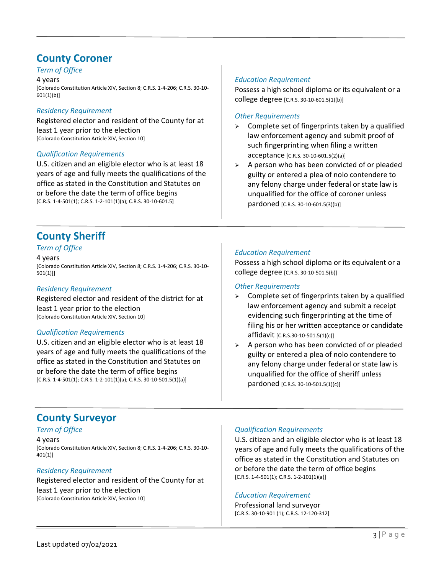### **County Coroner**

*Term of Office*

4 years

[Colorado Constitution Article XIV, Section 8; C.R.S. 1-4-206; C.R.S. 30-10- 601(1)(b)]

#### *Residency Requirement*

Registered elector and resident of the County for at least 1 year prior to the election [Colorado Constitution Article XIV, Section 10]

#### *Qualification Requirements*

U.S. citizen and an eligible elector who is at least 18 years of age and fully meets the qualifications of the office as stated in the Constitution and Statutes on or before the date the term of office begins [C.R.S. 1-4-501(1); C.R.S. 1-2-101(1)(a); C.R.S. 30-10-601.5]

#### *Education Requirement*

Possess a high school diploma or its equivalent or a college degree [C.R.S. 30-10-601.5(1)(b)]

#### *Other Requirements*

- $\geq$  Complete set of fingerprints taken by a qualified law enforcement agency and submit proof of such fingerprinting when filing a written acceptance [C.R.S. 30-10-601.5(2)(a)]
- $\triangleright$  A person who has been convicted of or pleaded guilty or entered a plea of nolo contendere to any felony charge under federal or state law is unqualified for the office of coroner unless pardoned [C.R.S. 30-10-601.5(3)(b)]

### **County Sheriff**

#### *Term of Office*

4 years [Colorado Constitution Article XIV, Section 8; C.R.S. 1-4-206; C.R.S. 30-10- 501(1)]]

#### *Residency Requirement*

Registered elector and resident of the district for at least 1 year prior to the election [Colorado Constitution Article XIV, Section 10]

#### *Qualification Requirements*

U.S. citizen and an eligible elector who is at least 18 years of age and fully meets the qualifications of the office as stated in the Constitution and Statutes on or before the date the term of office begins [C.R.S. 1-4-501(1); C.R.S. 1-2-101(1)(a); C.R.S. 30-10-501.5(1)(a)]

### *Education Requirement*

Possess a high school diploma or its equivalent or a college degree [C.R.S. 30-10-501.5(b)]

#### *Other Requirements*

- $\geq$  Complete set of fingerprints taken by a qualified law enforcement agency and submit a receipt evidencing such fingerprinting at the time of filing his or her written acceptance or candidate affidavit [C.R.S.30-10-501.5(1)(c)]
- $\triangleright$  A person who has been convicted of or pleaded guilty or entered a plea of nolo contendere to any felony charge under federal or state law is unqualified for the office of sheriff unless pardoned [C.R.S. 30-10-501.5(1)(c)]

### **County Surveyor**

*Term of Office* 4 years [Colorado Constitution Article XIV, Section 8; C.R.S. 1-4-206; C.R.S. 30-10- 401(1)]

#### *Residency Requirement*

Registered elector and resident of the County for at least 1 year prior to the election [Colorado Constitution Article XIV, Section 10]

#### *Qualification Requirements*

U.S. citizen and an eligible elector who is at least 18 years of age and fully meets the qualifications of the office as stated in the Constitution and Statutes on or before the date the term of office begins  $[C.R.S. 1-4-501(1); C.R.S. 1-2-101(1)(a)]$ 

#### *Education Requirement*

Professional land surveyor [C.R.S. 30-10-901 (1); C.R.S. 12-120-312]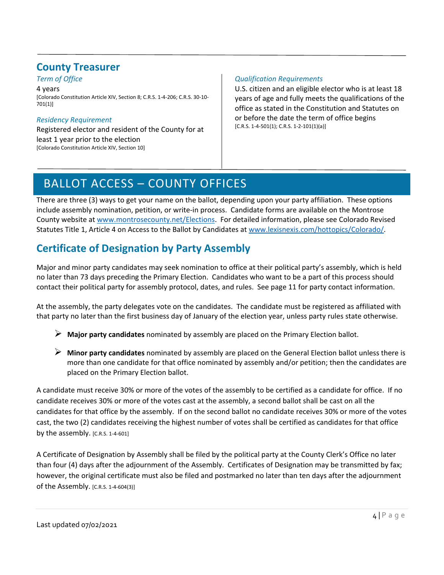### **County Treasurer**

*Term of Office*

4 years [Colorado Constitution Article XIV, Section 8; C.R.S. 1-4-206; C.R.S. 30-10- 701(1)]

### *Residency Requirement*

Registered elector and resident of the County for at least 1 year prior to the election [Colorado Constitution Article XIV, Section 10]

#### *Qualification Requirements*

U.S. citizen and an eligible elector who is at least 18 years of age and fully meets the qualifications of the office as stated in the Constitution and Statutes on or before the date the term of office begins  $[C.R.S. 1-4-501(1); C.R.S. 1-2-101(1)(a)]$ 

# <span id="page-5-0"></span>BALLOT ACCESS – COUNTY OFFICES

There are three (3) ways to get your name on the ballot, depending upon your party affiliation. These options include assembly nomination, petition, or write-in process. Candidate forms are available on the Montrose County website at [www.montrosecounty.net/Elections.](http://www.montrosecounty.net/Elections) For detailed information, please see Colorado Revised Statutes Title 1, Article 4 on Access to the Ballot by Candidates at [www.lexisnexis.com/hottopics/Colorado/.](http://www.lexisnexis.com/hottopics/Colorado/)

# **Certificate of Designation by Party Assembly**

Major and minor party candidates may seek nomination to office at their political party's assembly, which is held no later than 73 days preceding the Primary Election. Candidates who want to be a part of this process should contact their political party for assembly protocol, dates, and rules. See page 11 for party contact information.

At the assembly, the party delegates vote on the candidates. The candidate must be registered as affiliated with that party no later than the first business day of January of the election year, unless party rules state otherwise.

- **Major party candidates** nominated by assembly are placed on the Primary Election ballot.
- **Minor party candidates** nominated by assembly are placed on the General Election ballot unless there is more than one candidate for that office nominated by assembly and/or petition; then the candidates are placed on the Primary Election ballot.

A candidate must receive 30% or more of the votes of the assembly to be certified as a candidate for office. If no candidate receives 30% or more of the votes cast at the assembly, a second ballot shall be cast on all the candidates for that office by the assembly. If on the second ballot no candidate receives 30% or more of the votes cast, the two (2) candidates receiving the highest number of votes shall be certified as candidates for that office by the assembly.  $[C.R.S. 1-4-601]$ 

A Certificate of Designation by Assembly shall be filed by the political party at the County Clerk's Office no later than four (4) days after the adjournment of the Assembly. Certificates of Designation may be transmitted by fax; however, the original certificate must also be filed and postmarked no later than ten days after the adjournment of the Assembly. [C.R.S. 1-4-604(3)]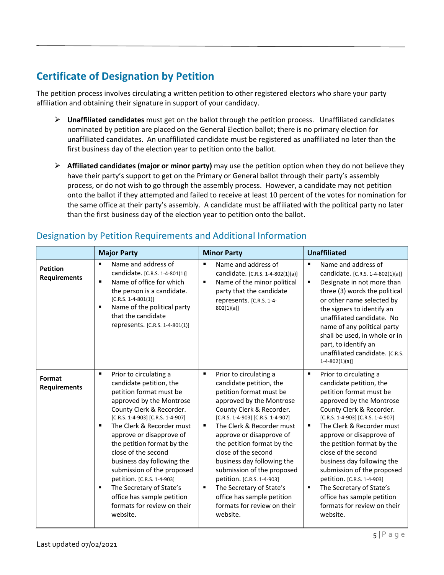### **Certificate of Designation by Petition**

The petition process involves circulating a written petition to other registered electors who share your party affiliation and obtaining their signature in support of your candidacy.

- **Unaffiliated candidates** must get on the ballot through the petition process. Unaffiliated candidates nominated by petition are placed on the General Election ballot; there is no primary election for unaffiliated candidates. An unaffiliated candidate must be registered as unaffiliated no later than the first business day of the election year to petition onto the ballot.
- $\triangleright$  **Affiliated candidates (major or minor party)** may use the petition option when they do not believe they have their party's support to get on the Primary or General ballot through their party's assembly process, or do not wish to go through the assembly process. However, a candidate may not petition onto the ballot if they attempted and failed to receive at least 10 percent of the votes for nomination for the same office at their party's assembly. A candidate must be affiliated with the political party no later than the first business day of the election year to petition onto the ballot.

|                                        | <b>Major Party</b>                                                                                                                                                                                                                                                                                                                                                                                                                                                                                            | <b>Minor Party</b>                                                                                                                                                                                                                                                                                                                                                                                                                                                                                    | <b>Unaffiliated</b>                                                                                                                                                                                                                                                                                                                                                                                                                                                                                   |
|----------------------------------------|---------------------------------------------------------------------------------------------------------------------------------------------------------------------------------------------------------------------------------------------------------------------------------------------------------------------------------------------------------------------------------------------------------------------------------------------------------------------------------------------------------------|-------------------------------------------------------------------------------------------------------------------------------------------------------------------------------------------------------------------------------------------------------------------------------------------------------------------------------------------------------------------------------------------------------------------------------------------------------------------------------------------------------|-------------------------------------------------------------------------------------------------------------------------------------------------------------------------------------------------------------------------------------------------------------------------------------------------------------------------------------------------------------------------------------------------------------------------------------------------------------------------------------------------------|
| <b>Petition</b><br><b>Requirements</b> | Name and address of<br>candidate. [C.R.S. 1-4-801(1)]<br>Name of office for which<br>٠<br>the person is a candidate.<br>$[C.R.S. 1-4-801(1)]$<br>Name of the political party<br>٠<br>that the candidate<br>represents. [C.R.S. 1-4-801(1)]                                                                                                                                                                                                                                                                    | Name and address of<br>$\blacksquare$<br>candidate. [C.R.S. 1-4-802(1)(a)]<br>Name of the minor political<br>٠<br>party that the candidate<br>represents. [C.R.S. 1-4-<br>802(1)(a)                                                                                                                                                                                                                                                                                                                   | $\blacksquare$<br>Name and address of<br>candidate. [C.R.S. 1-4-802(1)(a)]<br>٠<br>Designate in not more than<br>three (3) words the political<br>or other name selected by<br>the signers to identify an<br>unaffiliated candidate. No<br>name of any political party<br>shall be used, in whole or in<br>part, to identify an<br>unaffiliated candidate. [C.R.S.<br>$1-4-802(1)(a)$                                                                                                                 |
| Format<br><b>Requirements</b>          | ٠<br>Prior to circulating a<br>candidate petition, the<br>petition format must be<br>approved by the Montrose<br>County Clerk & Recorder.<br>[C.R.S. 1-4-903] [C.R.S. 1-4-907]<br>The Clerk & Recorder must<br>approve or disapprove of<br>the petition format by the<br>close of the second<br>business day following the<br>submission of the proposed<br>petition. [C.R.S. 1-4-903]<br>The Secretary of State's<br>$\blacksquare$<br>office has sample petition<br>formats for review on their<br>website. | ٠<br>Prior to circulating a<br>candidate petition, the<br>petition format must be<br>approved by the Montrose<br>County Clerk & Recorder.<br>[C.R.S. 1-4-903] [C.R.S. 1-4-907]<br>The Clerk & Recorder must<br>٠<br>approve or disapprove of<br>the petition format by the<br>close of the second<br>business day following the<br>submission of the proposed<br>petition. [C.R.S. 1-4-903]<br>The Secretary of State's<br>٠<br>office has sample petition<br>formats for review on their<br>website. | Prior to circulating a<br>٠<br>candidate petition, the<br>petition format must be<br>approved by the Montrose<br>County Clerk & Recorder.<br>[C.R.S. 1-4-903] [C.R.S. 1-4-907]<br>The Clerk & Recorder must<br>٠<br>approve or disapprove of<br>the petition format by the<br>close of the second<br>business day following the<br>submission of the proposed<br>petition. [C.R.S. 1-4-903]<br>The Secretary of State's<br>٠<br>office has sample petition<br>formats for review on their<br>website. |

### Designation by Petition Requirements and Additional Information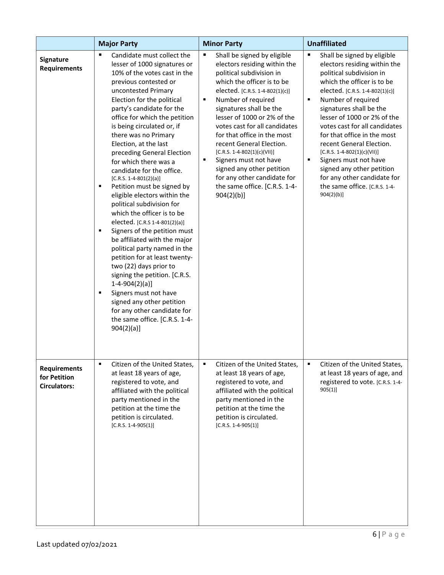|                                                            | <b>Major Party</b>                                                                                                                                                                                                                                                                                                                                                                                                                                                                                                                                                                                                                                                                                                                                                                                                                                                                                                                                                         | <b>Minor Party</b>                                                                                                                                                                                                                                                                                                                                                                                                                                                                                                                     | <b>Unaffiliated</b>                                                                                                                                                                                                                                                                                                                                                                                                                                                                                                   |  |
|------------------------------------------------------------|----------------------------------------------------------------------------------------------------------------------------------------------------------------------------------------------------------------------------------------------------------------------------------------------------------------------------------------------------------------------------------------------------------------------------------------------------------------------------------------------------------------------------------------------------------------------------------------------------------------------------------------------------------------------------------------------------------------------------------------------------------------------------------------------------------------------------------------------------------------------------------------------------------------------------------------------------------------------------|----------------------------------------------------------------------------------------------------------------------------------------------------------------------------------------------------------------------------------------------------------------------------------------------------------------------------------------------------------------------------------------------------------------------------------------------------------------------------------------------------------------------------------------|-----------------------------------------------------------------------------------------------------------------------------------------------------------------------------------------------------------------------------------------------------------------------------------------------------------------------------------------------------------------------------------------------------------------------------------------------------------------------------------------------------------------------|--|
| <b>Signature</b><br><b>Requirements</b>                    | ٠<br>Candidate must collect the<br>lesser of 1000 signatures or<br>10% of the votes cast in the<br>previous contested or<br>uncontested Primary<br>Election for the political<br>party's candidate for the<br>office for which the petition<br>is being circulated or, if<br>there was no Primary<br>Election, at the last<br>preceding General Election<br>for which there was a<br>candidate for the office.<br>$[C.R.S. 1-4-801(2)(a)]$<br>Petition must be signed by<br>٠<br>eligible electors within the<br>political subdivision for<br>which the officer is to be<br>elected. [C.R.S 1-4-801(2)(a)]<br>Signers of the petition must<br>٠<br>be affiliated with the major<br>political party named in the<br>petition for at least twenty-<br>two (22) days prior to<br>signing the petition. [C.R.S.<br>$1-4-904(2)(a)$<br>Signers must not have<br>٠<br>signed any other petition<br>for any other candidate for<br>the same office. [C.R.S. 1-4-<br>$904(2)(a)$ ] | ٠<br>Shall be signed by eligible<br>electors residing within the<br>political subdivision in<br>which the officer is to be<br>elected. [C.R.S. 1-4-802(1)(c)]<br>$\blacksquare$<br>Number of required<br>signatures shall be the<br>lesser of 1000 or 2% of the<br>votes cast for all candidates<br>for that office in the most<br>recent General Election.<br>[C.R.S. 1-4-802(1)(c)(VII)]<br>٠<br>Signers must not have<br>signed any other petition<br>for any other candidate for<br>the same office. [C.R.S. 1-4-<br>$904(2)(b)$ ] | ٠<br>Shall be signed by eligible<br>electors residing within the<br>political subdivision in<br>which the officer is to be<br>elected. [C.R.S. 1-4-802(1)(c)]<br>٠<br>Number of required<br>signatures shall be the<br>lesser of 1000 or 2% of the<br>votes cast for all candidates<br>for that office in the most<br>recent General Election.<br>[C.R.S. 1-4-802(1)(c)(VII)]<br>٠<br>Signers must not have<br>signed any other petition<br>for any other candidate for<br>the same office. [C.R.S. 1-4-<br>904(2)(b) |  |
| <b>Requirements</b><br>for Petition<br><b>Circulators:</b> | Citizen of the United States,<br>at least 18 years of age,<br>registered to vote, and<br>affiliated with the political<br>party mentioned in the<br>petition at the time the<br>petition is circulated.<br>$[C.R.S. 1-4-905(1)]$                                                                                                                                                                                                                                                                                                                                                                                                                                                                                                                                                                                                                                                                                                                                           | ٠<br>Citizen of the United States,<br>at least 18 years of age,<br>registered to vote, and<br>affiliated with the political<br>party mentioned in the<br>petition at the time the<br>petition is circulated.<br>$[C.R.S. 1-4-905(1)]$                                                                                                                                                                                                                                                                                                  | ٠<br>Citizen of the United States,<br>at least 18 years of age, and<br>registered to vote. [C.R.S. 1-4-<br>905(1)                                                                                                                                                                                                                                                                                                                                                                                                     |  |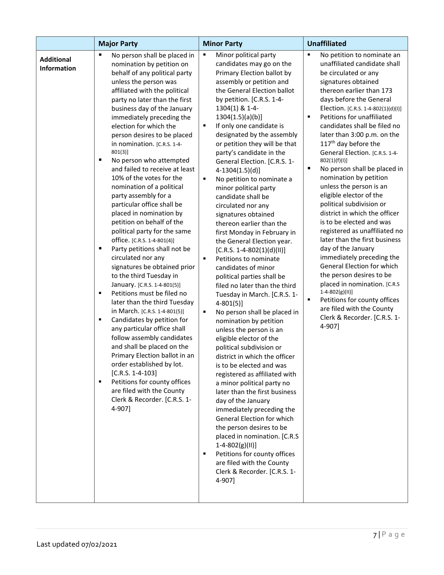|                                         | <b>Major Party</b>                                                                                                                                                                                                                                                                                                                                                                                                                                                                                                                                                                                                                                                                                                                                                                                                                                                                                                                                                                                                                                                                                                                                                                                                                                                                                  | <b>Minor Party</b>                                                                                                                                                                                                                                                                                                                                                                                                                                                                                                                                                                                                                                                                                                                                                                                                                                                                                                                                                                                                                                                                                                                                                                                                                                                                                                                                                                                                                                        | <b>Unaffiliated</b>                                                                                                                                                                                                                                                                                                                                                                                                                                                                                                                                                                                                                                                                                                                                                                                                                                                                                                                                                               |
|-----------------------------------------|-----------------------------------------------------------------------------------------------------------------------------------------------------------------------------------------------------------------------------------------------------------------------------------------------------------------------------------------------------------------------------------------------------------------------------------------------------------------------------------------------------------------------------------------------------------------------------------------------------------------------------------------------------------------------------------------------------------------------------------------------------------------------------------------------------------------------------------------------------------------------------------------------------------------------------------------------------------------------------------------------------------------------------------------------------------------------------------------------------------------------------------------------------------------------------------------------------------------------------------------------------------------------------------------------------|-----------------------------------------------------------------------------------------------------------------------------------------------------------------------------------------------------------------------------------------------------------------------------------------------------------------------------------------------------------------------------------------------------------------------------------------------------------------------------------------------------------------------------------------------------------------------------------------------------------------------------------------------------------------------------------------------------------------------------------------------------------------------------------------------------------------------------------------------------------------------------------------------------------------------------------------------------------------------------------------------------------------------------------------------------------------------------------------------------------------------------------------------------------------------------------------------------------------------------------------------------------------------------------------------------------------------------------------------------------------------------------------------------------------------------------------------------------|-----------------------------------------------------------------------------------------------------------------------------------------------------------------------------------------------------------------------------------------------------------------------------------------------------------------------------------------------------------------------------------------------------------------------------------------------------------------------------------------------------------------------------------------------------------------------------------------------------------------------------------------------------------------------------------------------------------------------------------------------------------------------------------------------------------------------------------------------------------------------------------------------------------------------------------------------------------------------------------|
| <b>Additional</b><br><b>Information</b> | $\blacksquare$<br>No person shall be placed in<br>nomination by petition on<br>behalf of any political party<br>unless the person was<br>affiliated with the political<br>party no later than the first<br>business day of the January<br>immediately preceding the<br>election for which the<br>person desires to be placed<br>in nomination. [C.R.S. 1-4-<br>$801(3)$ ]<br>$\blacksquare$<br>No person who attempted<br>and failed to receive at least<br>10% of the votes for the<br>nomination of a political<br>party assembly for a<br>particular office shall be<br>placed in nomination by<br>petition on behalf of the<br>political party for the same<br>office. [C.R.S. 1-4-801(4)]<br>Party petitions shall not be<br>п<br>circulated nor any<br>signatures be obtained prior<br>to the third Tuesday in<br>January. [C.R.S. 1-4-801(5)]<br>Petitions must be filed no<br>٠<br>later than the third Tuesday<br>in March. [C.R.S. 1-4-801(5)]<br>Candidates by petition for<br>٠<br>any particular office shall<br>follow assembly candidates<br>and shall be placed on the<br>Primary Election ballot in an<br>order established by lot.<br>$[C.R.S. 1-4-103]$<br>Petitions for county offices<br>$\blacksquare$<br>are filed with the County<br>Clerk & Recorder. [C.R.S. 1-<br>4-907] | Minor political party<br>٠<br>candidates may go on the<br>Primary Election ballot by<br>assembly or petition and<br>the General Election ballot<br>by petition. [C.R.S. 1-4-<br>1304(1) & 1-4-<br>$1304(1.5)(a)(b)$ ]<br>If only one candidate is<br>٠<br>designated by the assembly<br>or petition they will be that<br>party's candidate in the<br>General Election. [C.R.S. 1-<br>$4-1304(1.5)(d)]$<br>No petition to nominate a<br>٠<br>minor political party<br>candidate shall be<br>circulated nor any<br>signatures obtained<br>thereon earlier than the<br>first Monday in February in<br>the General Election year.<br>$[C.R.S. 1-4-802(1)(d)(II)]$<br>Petitions to nominate<br>$\blacksquare$<br>candidates of minor<br>political parties shall be<br>filed no later than the third<br>Tuesday in March. [C.R.S. 1-<br>$4 - 801(5)$ ]<br>$\blacksquare$<br>No person shall be placed in<br>nomination by petition<br>unless the person is an<br>eligible elector of the<br>political subdivision or<br>district in which the officer<br>is to be elected and was<br>registered as affiliated with<br>a minor political party no<br>later than the first business<br>day of the January<br>immediately preceding the<br>General Election for which<br>the person desires to be<br>placed in nomination. [C.R.S<br>$1-4-802(g)(II)]$<br>Petitions for county offices<br>٠<br>are filed with the County<br>Clerk & Recorder. [C.R.S. 1-<br>4-907] | ٠<br>No petition to nominate an<br>unaffiliated candidate shall<br>be circulated or any<br>signatures obtained<br>thereon earlier than 173<br>days before the General<br>Election. [C.R.S. 1-4-802(1)(d)(I)]<br>Petitions for unaffiliated<br>$\blacksquare$<br>candidates shall be filed no<br>later than 3:00 p.m. on the<br>117 <sup>th</sup> day before the<br>General Election. [C.R.S. 1-4-<br>802(1)(f)(I))<br>٠<br>No person shall be placed in<br>nomination by petition<br>unless the person is an<br>eligible elector of the<br>political subdivision or<br>district in which the officer<br>is to be elected and was<br>registered as unaffiliated no<br>later than the first business<br>day of the January<br>immediately preceding the<br>General Election for which<br>the person desires to be<br>placed in nomination. [C.R.S<br>$1-4-802(g)(11)]$<br>×,<br>Petitions for county offices<br>are filed with the County<br>Clerk & Recorder. [C.R.S. 1-<br>4-907] |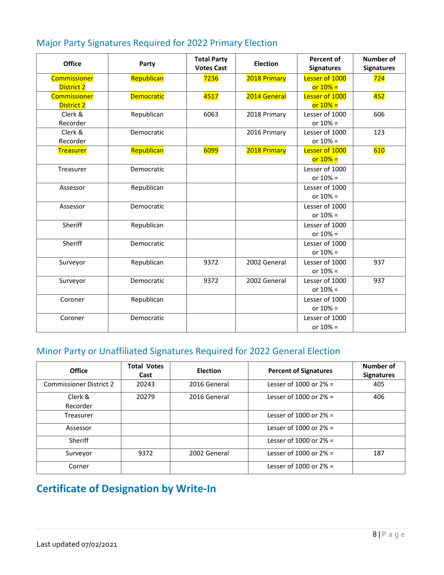| <b>Office</b>     | Party             | <b>Total Party</b><br><b>Votes Cast</b> | <b>Election</b> | <b>Percent of</b><br><b>Signatures</b> | <b>Number of</b><br><b>Signatures</b> |
|-------------------|-------------------|-----------------------------------------|-----------------|----------------------------------------|---------------------------------------|
| Commissioner      | Republican        | 7236                                    | 2018 Primary    | Lesser of 1000                         | 724                                   |
| <b>District 2</b> |                   |                                         |                 | $or 10% =$                             |                                       |
| Commissioner      | <b>Democratic</b> | 4517                                    | 2014 General    | Lesser of 1000                         | 452                                   |
| District 2        |                   |                                         |                 | or $10% =$                             |                                       |
| Clerk &           | Republican        | 6063                                    | 2018 Primary    | Lesser of 1000                         | 606                                   |
| Recorder          |                   |                                         |                 | or $10% =$                             |                                       |
| Clerk &           | Democratic        |                                         | 2016 Primary    | Lesser of 1000                         | 123                                   |
| Recorder          |                   |                                         |                 | or $10% =$                             |                                       |
| <b>Treasurer</b>  | Republican        | 6099                                    | 2018 Primary    | Lesser of 1000                         | 610                                   |
|                   |                   |                                         |                 | $or 10% =$                             |                                       |
| Treasurer         | Democratic        |                                         |                 | Lesser of 1000                         |                                       |
|                   |                   |                                         |                 | or $10% =$                             |                                       |
| Assessor          | Republican        |                                         |                 | Lesser of 1000                         |                                       |
|                   |                   |                                         |                 | or $10% =$                             |                                       |
| Assessor          | Democratic        |                                         |                 | Lesser of 1000                         |                                       |
|                   |                   |                                         |                 | or $10% =$                             |                                       |
| Sheriff           | Republican        |                                         |                 | Lesser of 1000                         |                                       |
|                   |                   |                                         |                 | or $10% =$                             |                                       |
| Sheriff           | Democratic        |                                         |                 | Lesser of 1000                         |                                       |
|                   |                   |                                         |                 | or $10% =$                             |                                       |
| Surveyor          | Republican        | 9372                                    | 2002 General    | Lesser of 1000                         | 937                                   |
|                   |                   |                                         |                 | or $10% =$                             |                                       |
| Surveyor          | Democratic        | 9372                                    | 2002 General    | Lesser of 1000                         | 937                                   |
|                   |                   |                                         |                 | or $10% =$                             |                                       |
| Coroner           | Republican        |                                         |                 | Lesser of 1000                         |                                       |
|                   |                   |                                         |                 | or $10% =$                             |                                       |
| Coroner           | Democratic        |                                         |                 | Lesser of 1000                         |                                       |
|                   |                   |                                         |                 | or $10% =$                             |                                       |

### Major Party Signatures Required for 2022 Primary Election

# Minor Party or Unaffiliated Signatures Required for 2022 General Election

| <b>Office</b>                  | <b>Total Votes</b><br>Cast | <b>Election</b> | <b>Percent of Signatures</b> | Number of<br><b>Signatures</b> |
|--------------------------------|----------------------------|-----------------|------------------------------|--------------------------------|
| <b>Commissioner District 2</b> | 20243                      | 2016 General    | Lesser of 1000 or $2\%$ =    | 405                            |
| Clerk &<br>Recorder            | 20279                      | 2016 General    | Lesser of 1000 or $2\%$ =    | 406                            |
| Treasurer                      |                            |                 | Lesser of 1000 or $2\%$ =    |                                |
| Assessor                       |                            |                 | Lesser of 1000 or $2\%$ =    |                                |
| Sheriff                        |                            |                 | Lesser of 1000 or $2\%$ =    |                                |
| Surveyor                       | 9372                       | 2002 General    | Lesser of 1000 or $2\%$ =    | 187                            |
| Corner                         |                            |                 | Lesser of 1000 or $2\%$ =    |                                |

# **Certificate of Designation by Write-In**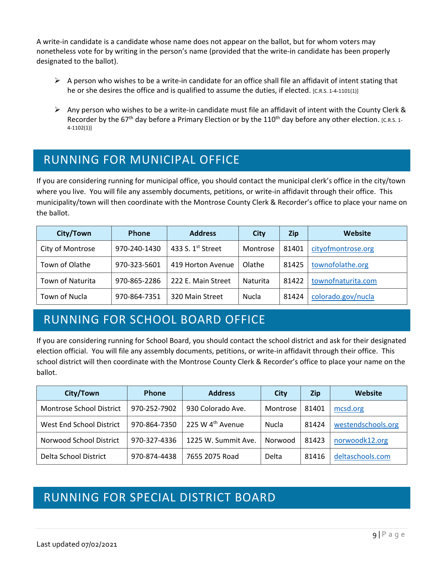A write-in candidate is a candidate whose name does not appear on the ballot, but for whom voters may nonetheless vote for by writing in the person's name (provided that the write-in candidate has been properly designated to the ballot).

- $\triangleright$  A person who wishes to be a write-in candidate for an office shall file an affidavit of intent stating that he or she desires the office and is qualified to assume the duties, if elected. [C.R.S. 1-4-1101(1)]
- Any person who wishes to be a write-in candidate must file an affidavit of intent with the County Clerk & Recorder by the 67<sup>th</sup> day before a Primary Election or by the 110<sup>th</sup> day before any other election. [C.R.S. 1-4-1102(1)]

# <span id="page-10-0"></span>RUNNING FOR MUNICIPAL OFFICE

If you are considering running for municipal office, you should contact the municipal clerk's office in the city/town where you live. You will file any assembly documents, petitions, or write-in affidavit through their office. This municipality/town will then coordinate with the Montrose County Clerk & Recorder's office to place your name on the ballot.

| City/Town        | Phone        | <b>Address</b>     | City     | <b>Zip</b> | Website            |
|------------------|--------------|--------------------|----------|------------|--------------------|
| City of Montrose | 970-240-1430 | 433 S. 1st Street  | Montrose | 81401      | cityofmontrose.org |
| Town of Olathe   | 970-323-5601 | 419 Horton Avenue  | Olathe   | 81425      | townofolathe.org   |
| Town of Naturita | 970-865-2286 | 222 E. Main Street | Naturita | 81422      | townofnaturita.com |
| Town of Nucla    | 970-864-7351 | 320 Main Street    | Nucla    | 81424      | colorado.gov/nucla |

# <span id="page-10-1"></span>RUNNING FOR SCHOOL BOARD OFFICE

If you are considering running for School Board, you should contact the school district and ask for their designated election official. You will file any assembly documents, petitions, or write-in affidavit through their office. This school district will then coordinate with the Montrose County Clerk & Recorder's office to place your name on the ballot.

| City/Town                | Phone        | <b>Address</b>               | City     | <b>Zip</b> | Website            |
|--------------------------|--------------|------------------------------|----------|------------|--------------------|
| Montrose School District | 970-252-7902 | 930 Colorado Ave.            | Montrose | 81401      | mcsd.org           |
| West End School District | 970-864-7350 | 225 W 4 <sup>th</sup> Avenue | Nucla    | 81424      | westendschools.org |
| Norwood School District  | 970-327-4336 | 1225 W. Summit Ave.          | Norwood  | 81423      | norwoodk12.org     |
| Delta School District    | 970-874-4438 | 7655 2075 Road               | Delta    | 81416      | deltaschools.com   |

# <span id="page-10-2"></span>RUNNING FOR SPECIAL DISTRICT BOARD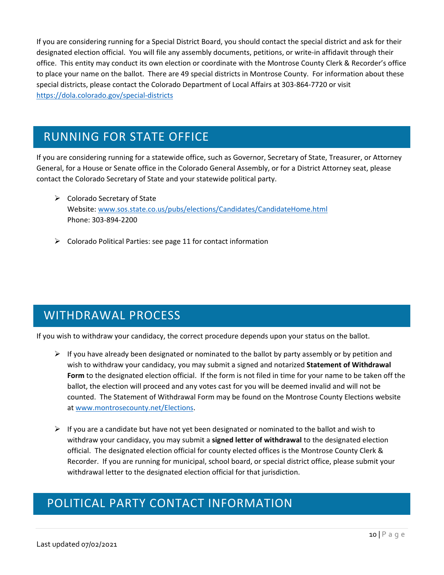If you are considering running for a Special District Board, you should contact the special district and ask for their designated election official. You will file any assembly documents, petitions, or write-in affidavit through their office. This entity may conduct its own election or coordinate with the Montrose County Clerk & Recorder's office to place your name on the ballot. There are 49 special districts in Montrose County. For information about these special districts, please contact the Colorado Department of Local Affairs at 303-864-7720 or visit <https://dola.colorado.gov/special-districts>

# <span id="page-11-0"></span>RUNNING FOR STATE OFFICE

If you are considering running for a statewide office, such as Governor, Secretary of State, Treasurer, or Attorney General, for a House or Senate office in the Colorado General Assembly, or for a District Attorney seat, please contact the Colorado Secretary of State and your statewide political party.

- $\triangleright$  Colorado Secretary of State Website: [www.sos.state.co.us/pubs/elections/Candidates/CandidateHome.html](https://www.sos.state.co.us/pubs/elections/Candidates/CandidateHome.html) Phone: 303-894-2200
- $\triangleright$  Colorado Political Parties: see page 11 for contact information

# <span id="page-11-1"></span>WITHDRAWAL PROCESS

If you wish to withdraw your candidacy, the correct procedure depends upon your status on the ballot.

- $\triangleright$  If you have already been designated or nominated to the ballot by party assembly or by petition and wish to withdraw your candidacy, you may submit a signed and notarized **Statement of Withdrawal Form** to the designated election official. If the form is not filed in time for your name to be taken off the ballot, the election will proceed and any votes cast for you will be deemed invalid and will not be counted. The Statement of Withdrawal Form may be found on the Montrose County Elections website at [www.montrosecounty.net/Elections.](http://www.montrosecounty.net/Elections)
- $\triangleright$  If you are a candidate but have not yet been designated or nominated to the ballot and wish to withdraw your candidacy, you may submit a **signed letter of withdrawal** to the designated election official. The designated election official for county elected offices is the Montrose County Clerk & Recorder. If you are running for municipal, school board, or special district office, please submit your withdrawal letter to the designated election official for that jurisdiction.

### <span id="page-11-2"></span>POLITICAL PARTY CONTACT INFORMATION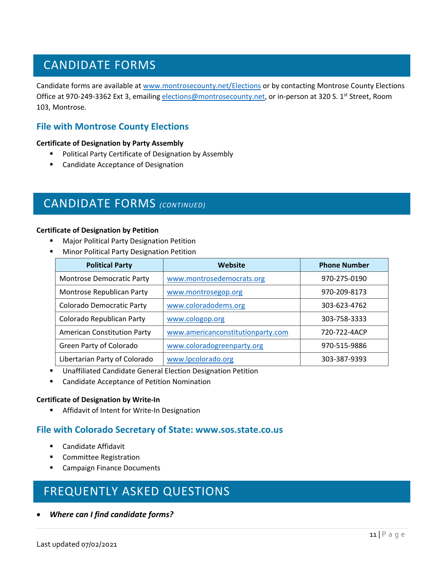# <span id="page-12-0"></span>CANDIDATE FORMS

Candidate forms are available at [www.montrosecounty.net/Elections](http://www.montrosecounty.net/Elections) or by contacting Montrose County Elections Office at 970-249-3362 Ext 3, emailin[g elections@montrosecounty.net,](mailto:elections@montrosecounty.net) or in-person at 320 S. 1st Street, Room 103, Montrose.

### **File with Montrose County Elections**

#### **Certificate of Designation by Party Assembly**

- **Political Party Certificate of Designation by Assembly**
- Candidate Acceptance of Designation

### <span id="page-12-1"></span>CANDIDATE FORMS *(CONTINUED)*

#### **Certificate of Designation by Petition**

- **Major Political Party Designation Petition**
- **Minor Political Party Designation Petition**

| <b>Political Party</b>             | Website                           | <b>Phone Number</b> |
|------------------------------------|-----------------------------------|---------------------|
| <b>Montrose Democratic Party</b>   | www.montrosedemocrats.org         | 970-275-0190        |
| Montrose Republican Party          | www.montrosegop.org               | 970-209-8173        |
| Colorado Democratic Party          | www.coloradodems.org              | 303-623-4762        |
| Colorado Republican Party          | www.cologop.org                   | 303-758-3333        |
| <b>American Constitution Party</b> | www.americanconstitutionparty.com | 720-722-4ACP        |
| Green Party of Colorado            | www.coloradogreenparty.org        | 970-515-9886        |
| Libertarian Party of Colorado      | www.lpcolorado.org                | 303-387-9393        |

- Unaffiliated Candidate General Election Designation Petition
- **EXEC** Candidate Acceptance of Petition Nomination

#### **Certificate of Designation by Write-In**

**F** Affidavit of Intent for Write-In Designation

#### **File with Colorado Secretary of State: www.sos.state.co.us**

- **E** Candidate Affidavit
- **E** Committee Registration
- **E** Campaign Finance Documents

# <span id="page-12-2"></span>FREQUENTLY ASKED QUESTIONS

• *Where can I find candidate forms?*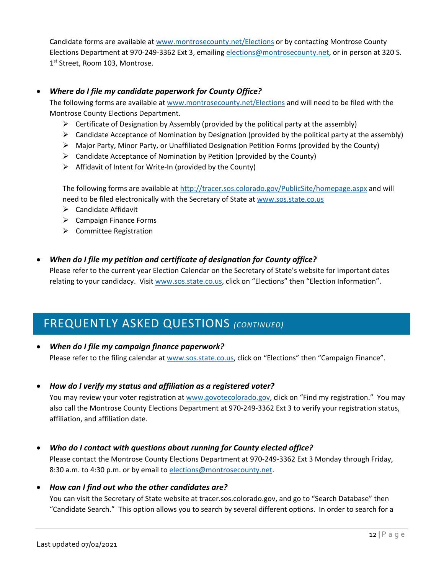Candidate forms are available at [www.montrosecounty.net/Elections](http://www.montrosecounty.net/Elections) or by contacting Montrose County Elections Department at 970-249-3362 Ext 3, emailing [elections@montrosecounty.net,](mailto:elections@montrosecounty.net) or in person at 320 S. 1<sup>st</sup> Street, Room 103, Montrose.

#### • *Where do I file my candidate paperwork for County Office?*

The following forms are available at [www.montrosecounty.net/Elections](http://www.montrosecounty.net/Elections) and will need to be filed with the Montrose County Elections Department.

- $\triangleright$  Certificate of Designation by Assembly (provided by the political party at the assembly)
- $\triangleright$  Candidate Acceptance of Nomination by Designation (provided by the political party at the assembly)
- $\triangleright$  Major Party, Minor Party, or Unaffiliated Designation Petition Forms (provided by the County)
- $\triangleright$  Candidate Acceptance of Nomination by Petition (provided by the County)
- $\triangleright$  Affidavit of Intent for Write-In (provided by the County)

The following forms are available at<http://tracer.sos.colorado.gov/PublicSite/homepage.aspx> and will need to be filed electronically with the Secretary of State a[t www.sos.state.co.us](http://www.sos.state.co.us/)

- $\triangleright$  Candidate Affidavit
- $\triangleright$  Campaign Finance Forms
- $\triangleright$  Committee Registration
- *When do I file my petition and certificate of designation for County office?*

Please refer to the current year Election Calendar on the Secretary of State's website for important dates relating to your candidacy. Visit [www.sos.state.co.us,](http://www.sos.state.co.us/) click on "Elections" then "Election Information".

### <span id="page-13-0"></span>FREQUENTLY ASKED QUESTIONS *(CONTINUED)*

- *When do I file my campaign finance paperwork?* Please refer to the filing calendar at [www.sos.state.co.us,](http://www.sos.state.co.us/) click on "Elections" then "Campaign Finance".
- *How do I verify my status and affiliation as a registered voter?*

You may review your voter registration at [www.govotecolorado.gov,](http://www.govotecolorado.gov/) click on "Find my registration." You may also call the Montrose County Elections Department at 970-249-3362 Ext 3 to verify your registration status, affiliation, and affiliation date.

• *Who do I contact with questions about running for County elected office?*

Please contact the Montrose County Elections Department at 970-249-3362 Ext 3 Monday through Friday, 8:30 a.m. to 4:30 p.m. or by email to [elections@montrosecounty.net.](mailto:elections@montrosecounty.net)

• *How can I find out who the other candidates are?*

You can visit the Secretary of State website at tracer.sos.colorado.gov, and go to "Search Database" then "Candidate Search." This option allows you to search by several different options. In order to search for a